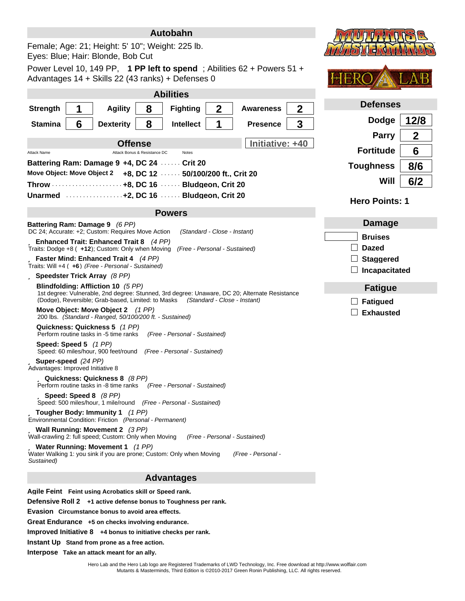| Autobahn                                                                                                                                                                         | <b>DOTOTOGE</b>                                     |
|----------------------------------------------------------------------------------------------------------------------------------------------------------------------------------|-----------------------------------------------------|
| Female; Age: 21; Height: 5' 10"; Weight: 225 lb.<br>Eyes: Blue; Hair: Blonde, Bob Cut                                                                                            |                                                     |
| Power Level 10, 149 PP, 1 PP left to spend; Abilities $62 +$ Powers $51 +$<br>Advantages 14 + Skills 22 (43 ranks) + Defenses 0                                                  |                                                     |
| <b>Abilities</b>                                                                                                                                                                 |                                                     |
| $\mathbf 2$<br><b>Agility</b><br>8<br><b>Strength</b><br><b>Fighting</b><br><b>Awareness</b>                                                                                     | <b>Defenses</b><br>$\mathbf 2$                      |
| 6<br>8<br>1<br><b>Stamina</b><br><b>Dexterity</b><br><b>Intellect</b><br><b>Presence</b>                                                                                         | <b>Dodge</b><br>12/8<br>3                           |
| <b>Offense</b>                                                                                                                                                                   | $\boldsymbol{2}$<br><b>Parry</b><br>Initiative: +40 |
| <b>Attack Name</b><br>Attack Bonus & Resistance DC<br><b>Notes</b>                                                                                                               | <b>Fortitude</b><br>6                               |
| Battering Ram: Damage 9 +4, DC 24  Crit 20<br>Move Object: Move Object 2 +8, DC 12  50/100/200 ft., Crit 20                                                                      | 8/6<br><b>Toughness</b>                             |
| Throw  +8, DC 16  Bludgeon, Crit 20                                                                                                                                              | Will<br>6/2                                         |
| Unarmed Marriot 12, DC 16 Mars Bludgeon, Crit 20                                                                                                                                 | <b>Hero Points: 1</b>                               |
| <b>Powers</b>                                                                                                                                                                    |                                                     |
| Battering Ram: Damage 9 (6 PP)<br>DC 24; Accurate: +2; Custom: Requires Move Action<br>(Standard - Close - Instant)                                                              | Damage                                              |
| ü Enhanced Trait: Enhanced Trait 8 (4 PP)                                                                                                                                        | <b>Bruises</b>                                      |
| Traits: Dodge +8 ( +12); Custom: Only when Moving (Free - Personal - Sustained)<br>ü Faster Mind: Enhanced Trait 4 (4 PP)                                                        | <b>Dazed</b><br><b>Staggered</b>                    |
| Traits: Will +4 ( +6) (Free - Personal - Sustained)                                                                                                                              | Incapacitated                                       |
| ü Speedster Trick Array (8 PP)<br>Blindfolding: Affliction 10 (5 PP)                                                                                                             | <b>Fatigue</b>                                      |
| 1st degree: Vulnerable, 2nd degree: Stunned, 3rd degree: Unaware, DC 20; Alternate Resistance<br>(Dodge), Reversible; Grab-based, Limited: to Masks (Standard - Close - Instant) | <b>Fatigued</b>                                     |
| Move Object: Move Object 2 (1 PP)<br>200 lbs. (Standard - Ranged, 50/100/200 ft. - Sustained)                                                                                    | <b>Exhausted</b>                                    |
| Quickness: Quickness 5 (1 PP)<br>Perform routine tasks in -5 time ranks<br>(Free - Personal - Sustained)                                                                         |                                                     |
| Speed: Speed 5 (1 PP)<br>Speed: 60 miles/hour, 900 feet/round (Free - Personal - Sustained)                                                                                      |                                                     |
| ü Super-speed (24 PP)<br>Advantages: Improved Initiative 8                                                                                                                       |                                                     |
| ü Quickness: Quickness 8 (8 PP)<br>Perform routine tasks in -8 time ranks<br>(Free - Personal - Sustained)                                                                       |                                                     |
| ü Speed: Speed 8 (8 PP)<br>Speed: 500 miles/hour, 1 mile/round (Free - Personal - Sustained)                                                                                     |                                                     |
| $\ddot{\mathbf{u}}$ Tougher Body: Immunity 1 (1 PP)<br>Environmental Condition: Friction (Personal - Permanent)                                                                  |                                                     |
| ü Wall Running: Movement 2 (3 PP)<br>Wall-crawling 2: full speed; Custom: Only when Moving<br>(Free - Personal - Sustained)                                                      |                                                     |
| ü Water Running: Movement 1 (1 PP)<br>Water Walking 1: you sink if you are prone; Custom: Only when Moving<br>(Free - Personal -<br>Sustained)                                   |                                                     |
| <b>Advantages</b>                                                                                                                                                                |                                                     |
| Agile Feint Feint using Acrobatics skill or Speed rank.                                                                                                                          |                                                     |
| Defensive Roll 2 +1 active defense bonus to Toughness per rank.                                                                                                                  |                                                     |
| Evasion Circumstance bonus to avoid area effects.<br>Great Endurance +5 on checks involving endurance.                                                                           |                                                     |
|                                                                                                                                                                                  |                                                     |

**Improved Initiative 8 +4 bonus to initiative checks per rank.**

**Instant Up Stand from prone as a free action.**

**Interpose Take an attack meant for an ally.**